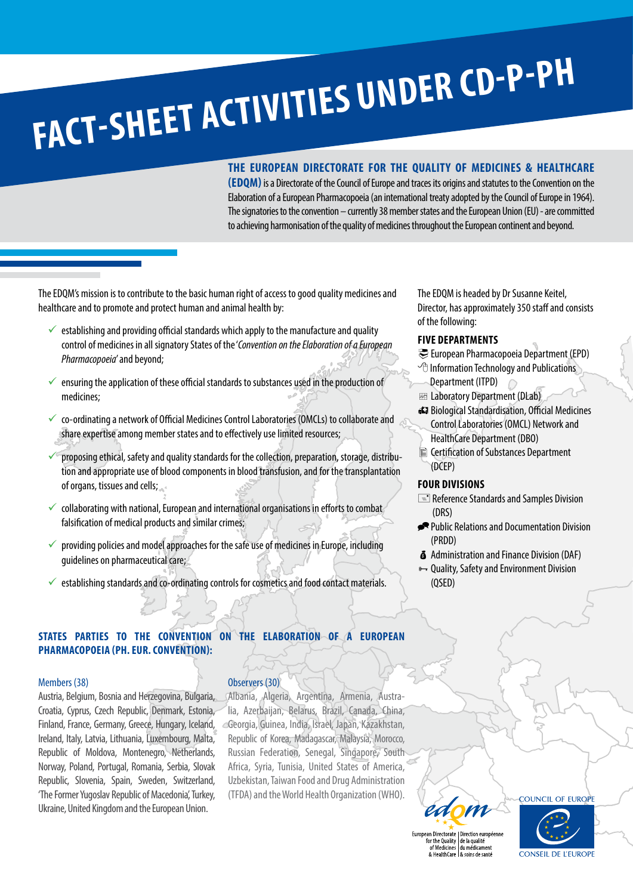# **FACT-SHEET ACTIVITIES UNDER CD-P-PH**

# **THE EUROPEAN DIRECTORATE FOR THE QUALITY OF MEDICINES & HEALTHCARE**

**(EDQM)** is a Directorate of the Council of Europe and traces its origins and statutes to the Convention on the Elaboration of a European Pharmacopoeia (an international treaty adopted by the Council of Europe in 1964). The signatories to the convention – currently 38 member states and the European Union (EU) - are committed to achieving harmonisation of the quality of medicines throughout the European continent and beyond.

The EDQM's mission is to contribute to the basic human right of access to good quality medicines and healthcare and to promote and protect human and animal health by:

- $\checkmark$  establishing and providing official standards which apply to the manufacture and quality control of medicines in all signatory States of the '*Convention on the Elaboration of a European Pharmacopoeia*' and beyond;
- ensuring the application of these official standards to substances used in the production of medicines;
- 9 co-ordinating a network of Official Medicines Control Laboratories (OMCLs) to collaborate and share expertise among member states and to effectively use limited resources;
- proposing ethical, safety and quality standards for the collection, preparation, storage, distribution and appropriate use of blood components in blood transfusion, and for the transplantation of organs, tissues and cells;
- 9 collaborating with national, European and international organisations in efforts to combat falsification of medical products and similar crimes;
- $\checkmark$  providing policies and model approaches for the safe use of medicines in Europe, including guidelines on pharmaceutical care;
- establishing standards and co-ordinating controls for cosmetics and food contact materials.

# **STATES PARTIES TO THE CONVENTION ON THE ELABORATION OF A EUROPEAN PHARMACOPOEIA (PH. EUR. CONVENTION):**

# Members (38)

Austria, Belgium, Bosnia and Herzegovina, Bulgaria, Croatia, Cyprus, Czech Republic, Denmark, Estonia, Finland, France, Germany, Greece, Hungary, Iceland, Ireland, Italy, Latvia, Lithuania, Luxembourg, Malta, Republic of Moldova, Montenegro, Netherlands, Norway, Poland, Portugal, Romania, Serbia, Slovak Republic, Slovenia, Spain, Sweden, Switzerland, 'The Former Yugoslav Republic of Macedonia', Turkey, Ukraine, United Kingdom and the European Union.

# Observers (30)

Albania, Algeria, Argentina, Armenia, Australia, Azerbaijan, Belarus, Brazil, Canada, China, Georgia, Guinea, India, Israel, Japan, Kazakhstan, Republic of Korea, Madagascar, Malaysia, Morocco, Russian Federation, Senegal, Singapore, South Africa, Syria, Tunisia, United States of America, Uzbekistan, Taiwan Food and Drug Administration (TFDA) and the World Health Organization (WHO).

The EDQM is headed by Dr Susanne Keitel, Director, has approximately 350 staff and consists of the following:

# **FIVE DEPARTMENTS**

- European Pharmacopoeia Department (EPD)
- $\sqrt{c}$  Information Technology and Publications
- Department (ITPD)
- **Exa** Laboratory Department (DLab)
- KBiological Standardisation, Official Medicines Control Laboratories (OMCL) Network and
- HealthCare Department (DBO)
- Certification of Substances Department (DCEP)

# **FOUR DIVISIONS**

- $\equiv$  Reference Standards and Samples Division (DRS)
- APublic Relations and Documentation Division (PRDD)
- $\delta$  Administration and Finance Division (DAF)
- <sup>8→</sup> Quality, Safety and Environment Division (QSED)

ean Directorate | Direction européenn For the Quality<br>of Medicines<br>& HealthCare<br>& soins de santé



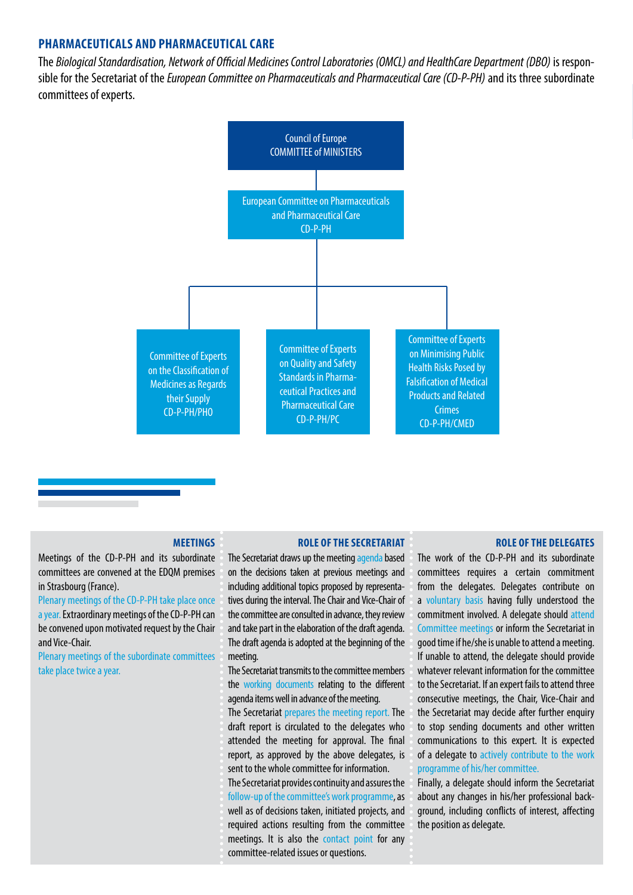# **PHARMACEUTICALS AND PHARMACEUTICAL CARE**

The *Biological Standardisation, Network of Official Medicines Control Laboratories (OMCL) and HealthCare Department (DBO)* is responsible for the Secretariat of the *European Committee on Pharmaceuticals and Pharmaceutical Care (CD-P-PH)* and its three subordinate committees of experts.



# **MEETINGS**

Meetings of the CD-P-PH and its subordinate committees are convened at the EDQM premises in Strasbourg (France).

Plenary meetings of the CD-P-PH take place once a year. Extraordinary meetings of the CD-P-PH can be convened upon motivated request by the Chair and Vice-Chair.

Plenary meetings of the subordinate committees take place twice a year.

## **ROLE OF THE SECRETARIAT**

The Secretariat draws up the meeting agenda based on the decisions taken at previous meetings and including additional topics proposed by representatives during the interval. The Chair and Vice-Chair of the committee are consulted in advance, they review and take part in the elaboration of the draft agenda. The draft agenda is adopted at the beginning of the meeting.

The Secretariat transmits to the committee members the working documents relating to the different agenda items well in advance of the meeting.

The Secretariat prepares the meeting report. The draft report is circulated to the delegates who attended the meeting for approval. The final report, as approved by the above delegates, is sent to the whole committee for information.

The Secretariat provides continuity and assures the follow-up of the committee's work programme, as well as of decisions taken, initiated projects, and required actions resulting from the committee meetings. It is also the contact point for any committee-related issues or questions.

# **ROLE OF THE DELEGATES**

The work of the CD-P-PH and its subordinate committees requires a certain commitment from the delegates. Delegates contribute on a voluntary basis having fully understood the commitment involved. A delegate should attend Committee meetings or inform the Secretariat in good time if he/she is unable to attend a meeting. If unable to attend, the delegate should provide whatever relevant information for the committee to the Secretariat. If an expert fails to attend three consecutive meetings, the Chair, Vice-Chair and the Secretariat may decide after further enquiry to stop sending documents and other written communications to this expert. It is expected of a delegate to actively contribute to the work programme of his/her committee.

Finally, a delegate should inform the Secretariat about any changes in his/her professional background, including conflicts of interest, affecting the position as delegate.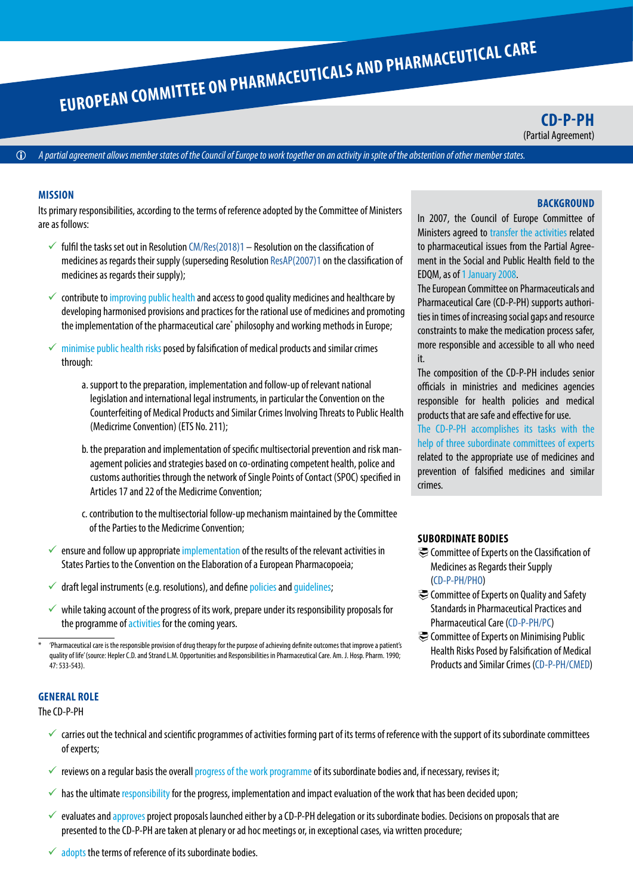**CD-P-PH** (Partial Agreement)

*A [partial agreement](https://www.coe.int/en/web/conventions/about-partial-agreements) allows member states of the Council of Europe to work together on an activity in spite of the abstention of other member states.*

# **MISSION**

Its primary responsibilities, according to the terms of reference adopted by the Committee of Ministers are as follows:

- $\checkmark$  fulfil the tasks set out in Resolution [CM/Res\(2018\)1](https://search.coe.int/cm/Pages/result_details.aspx?ObjectId=09000016807b7bbf)  Resolution on the classification of medicines as regards their supply (superseding Resolution [ResAP\(2007\)1](http://search.coe.int/cm/Pages/result_details.aspx?Reference=ResAP(2007)1) on the classification of medicines as regards their supply);
- $\checkmark$  contribute to improving public health and access to good quality medicines and healthcare by developing harmonised provisions and practices for the rational use of medicines and promoting the implementation of the pharmaceutical care\* philosophy and working methods in Europe;
- $\checkmark$  minimise public health risks posed by falsification of medical products and similar crimes through:
	- a. support to the preparation, implementation and follow-up of relevant national legislation and international legal instruments, in particular the Convention on the Counterfeiting of Medical Products and Similar Crimes Involving Threats to Public Health (Medicrime Convention) (ETS No. 211);
	- b. the preparation and implementation of specific multisectorial prevention and risk management policies and strategies based on co-ordinating competent health, police and customs authorities through the network of Single Points of Contact (SPOC) specified in Articles 17 and 22 of the Medicrime Convention;
	- c. contribution to the multisectorial follow-up mechanism maintained by the Committee of the Parties to the Medicrime Convention;
- $\checkmark$  ensure and follow up appropriate implementation of the results of the relevant activities in States Parties to the Convention on the Elaboration of a European Pharmacopoeia;
- $\checkmark$  draft legal instruments (e.g. resolutions), and define policies and quidelines;
- $\checkmark$  while taking account of the progress of its work, prepare under its responsibility proposals for the programme of activities for the coming years.

# **GENERAL ROLE**

The CD-P-PH

- $\checkmark$  carries out the technical and scientific programmes of activities forming part of its terms of reference with the support of its subordinate committees of experts;
- $\checkmark$  reviews on a regular basis the overall progress of the work programme of its subordinate bodies and, if necessary, revises it;
- $\checkmark$  has the ultimate responsibility for the progress, implementation and impact evaluation of the work that has been decided upon;
- $\checkmark$  evaluates and approves project proposals launched either by a CD-P-PH delegation or its subordinate bodies. Decisions on proposals that are presented to the CD-P-PH are taken at plenary or ad hoc meetings or, in exceptional cases, via written procedure;

# **BACKGROUND**

In 2007, the Council of Europe Committee of Ministers agreed to transfer the activities related to pharmaceutical issues from the Partial Agreement in the Social and Public Health field to the EDQM, as of 1 January 2008.

The European Committee on Pharmaceuticals and Pharmaceutical Care (CD-P-PH) supports authorities in times of increasing social gaps and resource constraints to make the medication process safer, more responsible and accessible to all who need it.

The composition of the CD-P-PH includes senior officials in ministries and medicines agencies responsible for health policies and medical products that are safe and effective for use.

The CD-P-PH accomplishes its tasks with the help of three subordinate committees of experts related to the appropriate use of medicines and prevention of falsified medicines and similar crimes.

# **SUBORDINATE BODIES**

- Committee of Experts on the Classification of Medicines as Regards their Supply [\(CD-P-PH/PHO](#page-3-0))
- Committee of Experts on Quality and Safety Standards in Pharmaceutical Practices and Pharmaceutical Care [\(CD-P-PH/PC\)](#page-4-0)
- Committee of Experts on Minimising Public Health Risks Posed by Falsification of Medical Products and Similar Crimes [\(CD-P-PH/CMED\)](#page-5-0)

 $\checkmark$  adopts the terms of reference of its subordinate bodies.

<sup>\* &#</sup>x27;Pharmaceutical care is the responsible provision of drug therapy for the purpose of achieving definite outcomes that improve a patient's quality of life' (source: Hepler C.D. and Strand L.M. Opportunities and Responsibilities in Pharmaceutical Care. Am. J. Hosp. Pharm. 1990; 47: 533-543).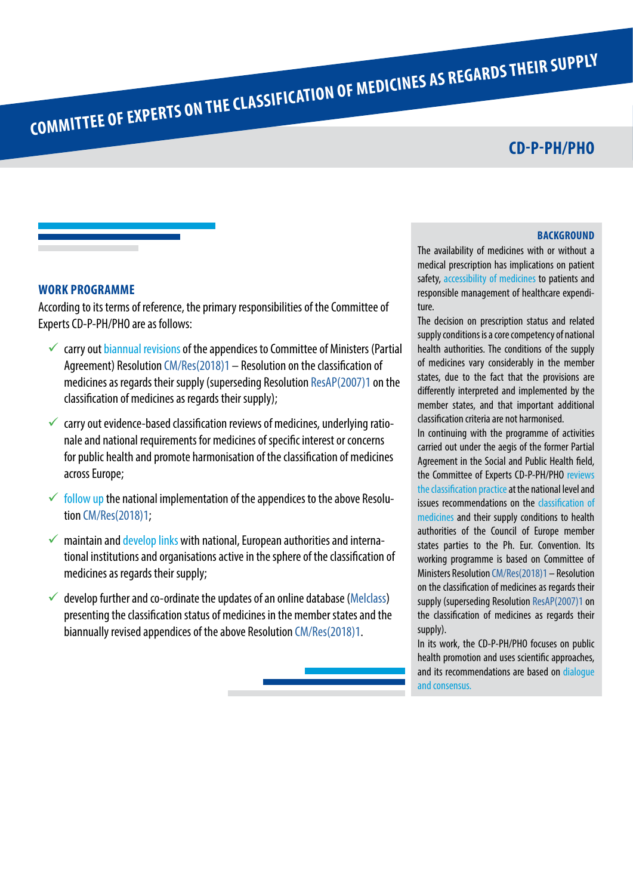# **CD-P-PH/PHO**

# <span id="page-3-0"></span>**WORK PROGRAMME**

According to its terms of reference, the primary responsibilities of the Committee of Experts CD-P-PH/PHO are as follows:

- $\checkmark$  carry out biannual revisions of the appendices to Committee of Ministers (Partial Agreement) Resolution [CM/Res\(2018\)1](https://search.coe.int/cm/Pages/result_details.aspx?ObjectId=09000016807b7bbf) – Resolution on the classification of medicines as regards their supply (superseding Resolution [ResAP\(2007\)1](http://search.coe.int/cm/Pages/result_details.aspx?Reference=ResAP(2007)1) on the classification of medicines as regards their supply);
- $\checkmark$  carry out evidence-based classification reviews of medicines, underlying rationale and national requirements for medicines of specific interest or concerns for public health and promote harmonisation of the classification of medicines across Europe;
- $\checkmark$  follow up the national implementation of the appendices to the above Resolution [CM/Res\(2018\)1;](https://search.coe.int/cm/Pages/result_details.aspx?ObjectId=09000016807b7bbf)
- $\checkmark$  maintain and develop links with national, European authorities and international institutions and organisations active in the sphere of the classification of medicines as regards their supply;
- $\checkmark$  develop further and co-ordinate the updates of an online database ([Melclass](https://melclass.edqm.eu/)) presenting the classification status of medicines in the member states and the biannually revised appendices of the above Resolution [CM/Res\(2018\)1](https://search.coe.int/cm/Pages/result_details.aspx?ObjectId=09000016807b7bbf).

**BACKGROUND** 

The availability of medicines with or without a medical prescription has implications on patient safety, accessibility of medicines to patients and responsible management of healthcare expenditure.

The decision on prescription status and related supply conditions is a core competency of national health authorities. The conditions of the supply of medicines vary considerably in the member states, due to the fact that the provisions are differently interpreted and implemented by the member states, and that important additional classification criteria are not harmonised.

In continuing with the programme of activities carried out under the aegis of the former Partial Agreement in the Social and Public Health field, the Committee of Experts CD-P-PH/PHO reviews the classification practice at the national level and issues recommendations on the classification of medicines and their supply conditions to health authorities of the Council of Europe member states parties to the Ph. Eur. Convention. Its working programme is based on Committee of Ministers Resolution [CM/Res\(2018\)1](https://search.coe.int/cm/Pages/result_details.aspx?ObjectId=09000016807b7bbf) – Resolution on the classification of medicines as regards their supply (superseding Resolution [ResAP\(2007\)1](http://search.coe.int/cm/Pages/result_details.aspx?Reference=ResAP(2007)1) on the classification of medicines as regards their supply).

In its work, the CD-P-PH/PHO focuses on public health promotion and uses scientific approaches, and its recommendations are based on dialogue and consensus.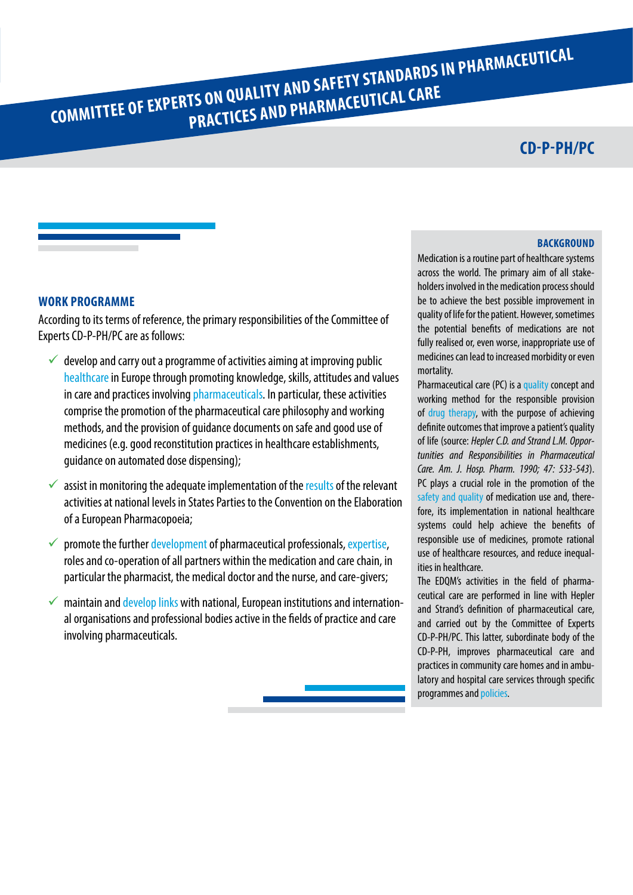# <span id="page-4-0"></span>**COMMITTEE OF EXPERTS ON QUALITY AND SAFETY STANDARDS IN PHARMACEUTICAL**

# **CD-P-PH/PC**

# **WORK PROGRAMME**

According to its terms of reference, the primary responsibilities of the Committee of Experts CD-P-PH/PC are as follows:

- $\checkmark$  develop and carry out a programme of activities aiming at improving public healthcare in Europe through promoting knowledge, skills, attitudes and values in care and practices involving pharmaceuticals. In particular, these activities comprise the promotion of the pharmaceutical care philosophy and working methods, and the provision of guidance documents on safe and good use of medicines (e.g. good reconstitution practices in healthcare establishments, guidance on automated dose dispensing);
- $\checkmark$  assist in monitoring the adequate implementation of the results of the relevant activities at national levels in States Parties to the Convention on the Elaboration of a European Pharmacopoeia;
- $\checkmark$  promote the further development of pharmaceutical professionals, expertise, roles and co-operation of all partners within the medication and care chain, in particular the pharmacist, the medical doctor and the nurse, and care-givers;
- $\checkmark$  maintain and develop links with national, European institutions and international organisations and professional bodies active in the fields of practice and care involving pharmaceuticals.

# **BACKGROUND**

Medication is a routine part of healthcare systems across the world. The primary aim of all stakeholders involved in the medication process should be to achieve the best possible improvement in quality of life for the patient. However, sometimes the potential benefits of medications are not fully realised or, even worse, inappropriate use of medicines can lead to increased morbidity or even mortality.

Pharmaceutical care (PC) is a quality concept and working method for the responsible provision of drug therapy, with the purpose of achieving definite outcomes that improve a patient's quality of life (source: *Hepler C.D. and Strand L.M. Opportunities and Responsibilities in Pharmaceutical Care. Am. J. Hosp. Pharm. 1990; 47: 533-543*). PC plays a crucial role in the promotion of the safety and quality of medication use and, therefore, its implementation in national healthcare systems could help achieve the benefits of responsible use of medicines, promote rational use of healthcare resources, and reduce inequalities in healthcare.

The EDQM's activities in the field of pharmaceutical care are performed in line with Hepler and Strand's definition of pharmaceutical care, and carried out by the Committee of Experts CD-P-PH/PC. This latter, subordinate body of the CD-P-PH, improves pharmaceutical care and practices in community care homes and in ambulatory and hospital care services through specific programmes and policies.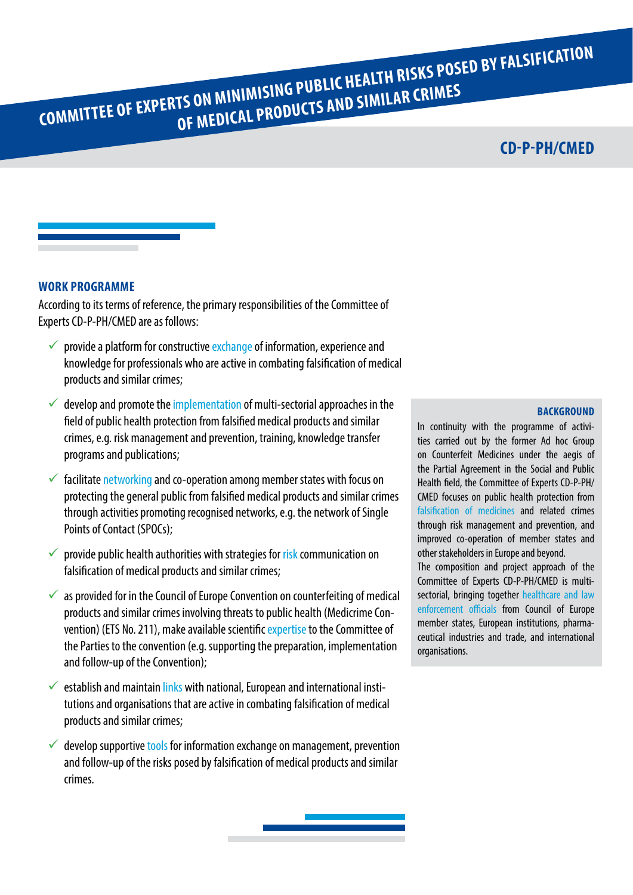<span id="page-5-0"></span>**COMMITTEE OF EXPERTS ON MINIMISING PUBLIC HEALTH RISKS POSED BY FALSIFICATION OF MEDICAL PRODUCTS AND SIMILAR CRIMES**

# **CD-P-PH/CMED**

# **WORK PROGRAMME**

According to its terms of reference, the primary responsibilities of the Committee of Experts CD-P-PH/CMED are as follows:

- $\checkmark$  provide a platform for constructive exchange of information, experience and knowledge for professionals who are active in combating falsification of medical products and similar crimes;
- $\checkmark$  develop and promote the implementation of multi-sectorial approaches in the field of public health protection from falsified medical products and similar crimes, e.g. risk management and prevention, training, knowledge transfer programs and publications;
- $\checkmark$  facilitate networking and co-operation among member states with focus on protecting the general public from falsified medical products and similar crimes through activities promoting recognised networks, e.g. the network of Single Points of Contact (SPOCs);
- $\checkmark$  provide public health authorities with strategies for risk communication on falsification of medical products and similar crimes;
- $\checkmark$  as provided for in the Council of Europe Convention on counterfeiting of medical products and similar crimes involving threats to public health (Medicrime Convention) (ETS No. 211), make available scientific expertise to the Committee of the Parties to the convention (e.g. supporting the preparation, implementation and follow-up of the Convention);
- $\checkmark$  establish and maintain links with national, European and international institutions and organisations that are active in combating falsification of medical products and similar crimes;
- $\checkmark$  develop supportive tools for information exchange on management, prevention and follow-up of the risks posed by falsification of medical products and similar crimes.

# **BACKGROUND**

In continuity with the programme of activities carried out by the former Ad hoc Group on Counterfeit Medicines under the aegis of the Partial Agreement in the Social and Public Health field, the Committee of Experts CD-P-PH/ CMED focuses on public health protection from falsification of medicines and related crimes through risk management and prevention, and improved co-operation of member states and other stakeholders in Europe and beyond. The composition and project approach of the Committee of Experts CD-P-PH/CMED is multisectorial, bringing together healthcare and law enforcement officials from Council of Europe member states, European institutions, pharmaceutical industries and trade, and international organisations.